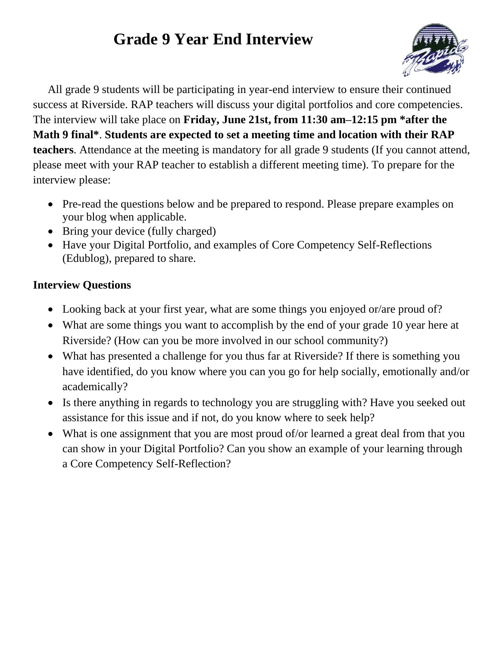## **Grade 9 Year End Interview**



All grade 9 students will be participating in year-end interview to ensure their continued success at Riverside. RAP teachers will discuss your digital portfolios and core competencies. The interview will take place on **Friday, June 21st, from 11:30 am–12:15 pm \*after the Math 9 final\***. **Students are expected to set a meeting time and location with their RAP teachers**. Attendance at the meeting is mandatory for all grade 9 students (If you cannot attend, please meet with your RAP teacher to establish a different meeting time). To prepare for the interview please:

- Pre-read the questions below and be prepared to respond. Please prepare examples on your blog when applicable.
- Bring your device (fully charged)
- Have your Digital Portfolio, and examples of Core Competency Self-Reflections (Edublog), prepared to share.

## **Interview Questions**

- Looking back at your first year, what are some things you enjoyed or/are proud of?
- What are some things you want to accomplish by the end of your grade 10 year here at Riverside? (How can you be more involved in our school community?)
- What has presented a challenge for you thus far at Riverside? If there is something you have identified, do you know where you can you go for help socially, emotionally and/or academically?
- Is there anything in regards to technology you are struggling with? Have you seeked out assistance for this issue and if not, do you know where to seek help?
- What is one assignment that you are most proud of/or learned a great deal from that you can show in your Digital Portfolio? Can you show an example of your learning through a Core Competency Self-Reflection?